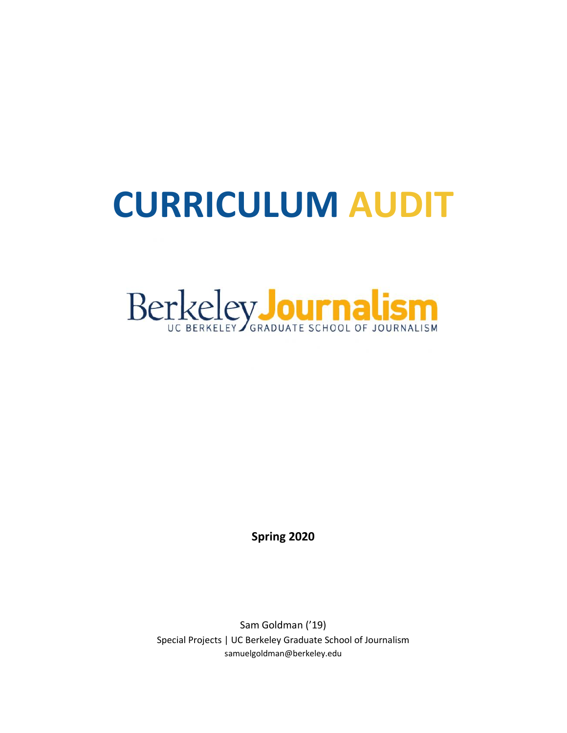# **CURRICULUM AUDIT**



**Spring 2020**

Sam Goldman ('19) Special Projects | UC Berkeley Graduate School of Journalism samuelgoldman@berkeley.edu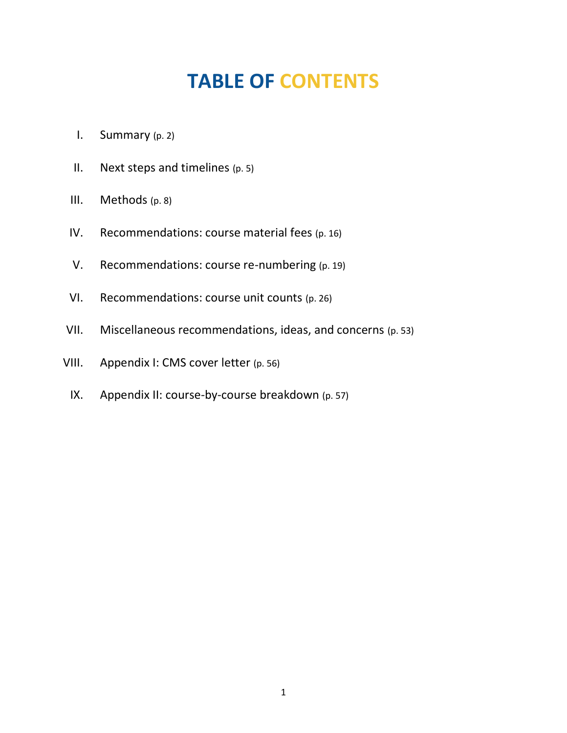## **TABLE OF CONTENTS**

- I. Summary (p. 2)
- II. Next steps and timelines (p. 5)
- III. Methods (p. 8)
- IV. Recommendations: course material fees (p. 16)
- V. Recommendations: course re-numbering (p. 19)
- VI. Recommendations: course unit counts (p. 26)
- VII. Miscellaneous recommendations, ideas, and concerns (p. 53)
- VIII. Appendix I: CMS cover letter (p. 56)
	- IX. Appendix II: course-by-course breakdown (p. 57)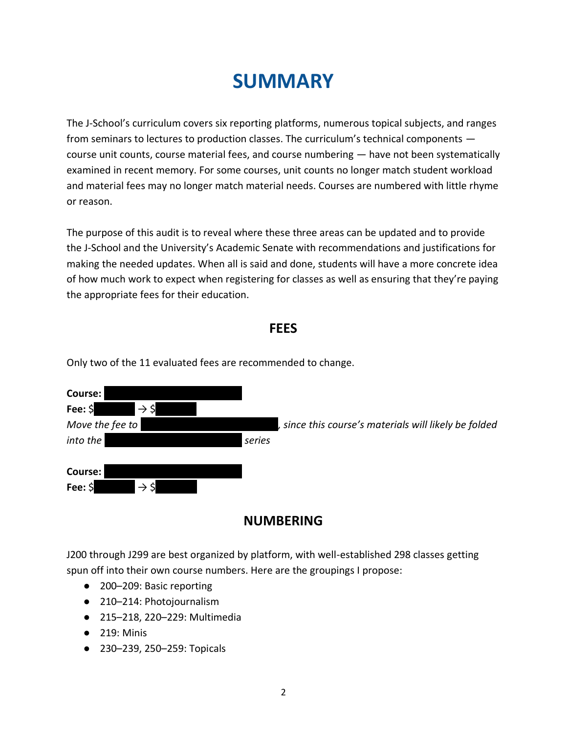### **SUMMARY**

The J-School's curriculum covers six reporting platforms, numerous topical subjects, and ranges from seminars to lectures to production classes. The curriculum's technical components course unit counts, course material fees, and course numbering — have not been systematically examined in recent memory. For some courses, unit counts no longer match student workload and material fees may no longer match material needs. Courses are numbered with little rhyme or reason.

The purpose of this audit is to reveal where these three areas can be updated and to provide the J-School and the University's Academic Senate with recommendations and justifications for making the needed updates. When all is said and done, students will have a more concrete idea of how much work to expect when registering for classes as well as ensuring that they're paying the appropriate fees for their education.

#### **FEES**

| Course:<br>$\rightarrow$ \$<br>Fee: \$ |                                                       |
|----------------------------------------|-------------------------------------------------------|
| Move the fee to                        | , since this course's materials will likely be folded |
| into the<br>series                     |                                                       |
| Course:                                |                                                       |
| Fee: \$<br>$\rightarrow$ \$            |                                                       |

Only two of the 11 evaluated fees are recommended to change.

#### **NUMBERING**

J200 through J299 are best organized by platform, with well-established 298 classes getting spun off into their own course numbers. Here are the groupings I propose:

- 200-209: Basic reporting
- 210–214: Photojournalism
- 215–218, 220–229: Multimedia
- 219: Minis
- 230–239, 250–259: Topicals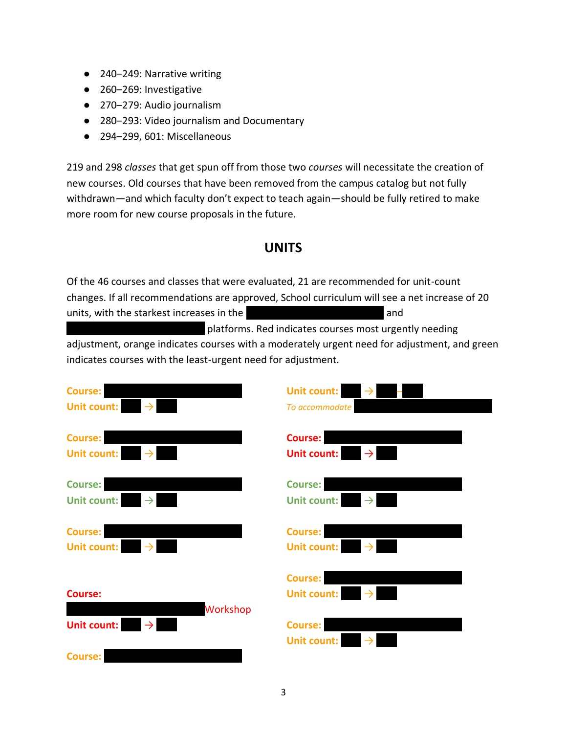- 240-249: Narrative writing
- 260-269: Investigative
- 270–279: Audio journalism
- 280–293: Video journalism and Documentary
- 294–299, 601: Miscellaneous

219 and 298 *classes* that get spun off from those two *courses* will necessitate the creation of new courses. Old courses that have been removed from the campus catalog but not fully withdrawn—and which faculty don't expect to teach again—should be fully retired to make more room for new course proposals in the future.

#### **UNITS**

Of the 46 courses and classes that were evaluated, 21 are recommended for unit-count changes. If all recommendations are approved, School curriculum will see a net increase of 20 units, with the starkest increases in the ||||||||||||||||||||||||||| and

|platforms. Red indicates courses most urgently needing adjustment, orange indicates courses with a moderately urgent need for adjustment, and green indicates courses with the least-urgent need for adjustment.

| <b>Course:</b>             | <b>Unit count:</b>                             |
|----------------------------|------------------------------------------------|
| <b>Unit count:</b>         | $\rightarrow$                                  |
| $\rightarrow$              | To accommodate                                 |
| <b>Course:</b>             | <b>Course:</b>                                 |
| <b>Unit count:</b>         | <b>Unit count:</b>                             |
| $\rightarrow$              | $\rightarrow$                                  |
| Course:                    | <b>Course:</b>                                 |
| $\rightarrow$              | <b>Unit count:</b>                             |
| <b>Unit count:</b>         | $\rightarrow$                                  |
| <b>Course:</b>             | <b>Course:</b>                                 |
| <b>Unit count:</b>         | <b>Unit count:</b>                             |
| $\rightarrow$              | $\rightarrow$                                  |
| <b>Course:</b><br>Workshop | Course:<br><b>Unit count:</b><br>$\rightarrow$ |
| <b>Unit count:</b>         | <b>Course:</b><br><b>Unit count:</b>           |
| <b>Course:</b>             |                                                |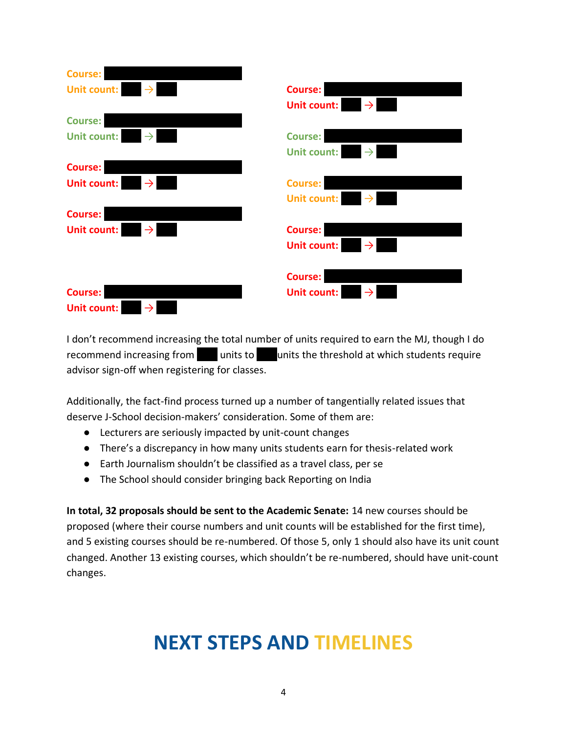| Course:                             |                                     |
|-------------------------------------|-------------------------------------|
| $\rightarrow$<br><b>Unit count:</b> | Course:                             |
|                                     | $\rightarrow$<br><b>Unit count:</b> |
| <b>Course:</b>                      |                                     |
| $\rightarrow$<br><b>Unit count:</b> | <b>Course:</b>                      |
|                                     | <b>Unit count:</b><br>$\rightarrow$ |
| Course:                             |                                     |
| $\rightarrow$<br><b>Unit count:</b> | <b>Course:</b>                      |
|                                     | <b>Unit count:</b>                  |
| Course:                             |                                     |
| $\rightarrow$<br><b>Unit count:</b> | <b>Course:</b>                      |
|                                     | <b>Unit count:</b>                  |
|                                     | <b>Course:</b>                      |
| Course:                             | <b>Unit count:</b>                  |
| <b>Unit count:</b><br>$\rightarrow$ |                                     |

I don't recommend increasing the total number of units required to earn the MJ, though I do recommend increasing from  $\blacksquare$  units to units the threshold at which students require advisor sign-off when registering for classes.

Additionally, the fact-find process turned up a number of tangentially related issues that deserve J-School decision-makers' consideration. Some of them are:

- Lecturers are seriously impacted by unit-count changes
- There's a discrepancy in how many units students earn for thesis-related work
- Earth Journalism shouldn't be classified as a travel class, per se
- The School should consider bringing back Reporting on India

**In total, 32 proposals should be sent to the Academic Senate:** 14 new courses should be proposed (where their course numbers and unit counts will be established for the first time), and 5 existing courses should be re-numbered. Of those 5, only 1 should also have its unit count changed. Another 13 existing courses, which shouldn't be re-numbered, should have unit-count changes.

### **NEXT STEPS AND TIMELINES**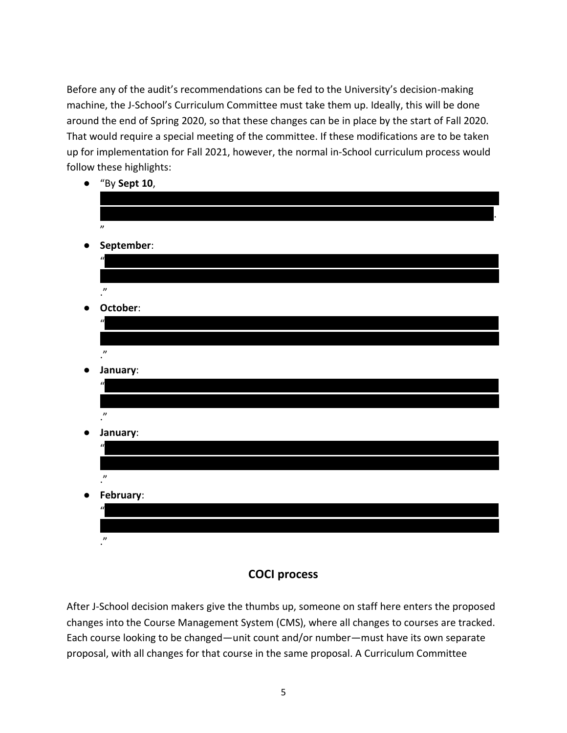Before any of the audit's recommendations can be fed to the University's decision-making machine, the J-School's Curriculum Committee must take them up. Ideally, this will be done around the end of Spring 2020, so that these changes can be in place by the start of Fall 2020. That would require a special meeting of the committee. If these modifications are to be taken up for implementation for Fall 2021, however, the normal in-School curriculum process would follow these highlights:

● "By **Sept 10**,

|           | and the state of<br>$\overline{\phantom{a}}$ |
|-----------|----------------------------------------------|
|           |                                              |
|           |                                              |
|           | $\boldsymbol{\eta}$                          |
| $\bullet$ | September:                                   |
|           | $\overline{u}$                               |
|           |                                              |
|           | $\cdot$ <sup><math>\prime</math></sup>       |
| $\bullet$ | October:                                     |
|           | $\mathbf{u}$                                 |
|           |                                              |
|           | $\cdot$                                      |
| $\bullet$ | January:                                     |
|           | $\mathbf{u}$                                 |
|           |                                              |
|           | $\cdot$                                      |
| $\bullet$ | January:                                     |
|           | $\mathbf{u}$                                 |
|           |                                              |
|           | $\cdot$                                      |
| $\bullet$ | February:                                    |
|           | $\mathbf{a}$                                 |
|           |                                              |
|           | $\boldsymbol{\eta}$                          |
|           |                                              |

#### **COCI process**

After J-School decision makers give the thumbs up, someone on staff here enters the proposed changes into the Course Management System (CMS), where all changes to courses are tracked. Each course looking to be changed—unit count and/or number—must have its own separate proposal, with all changes for that course in the same proposal. A Curriculum Committee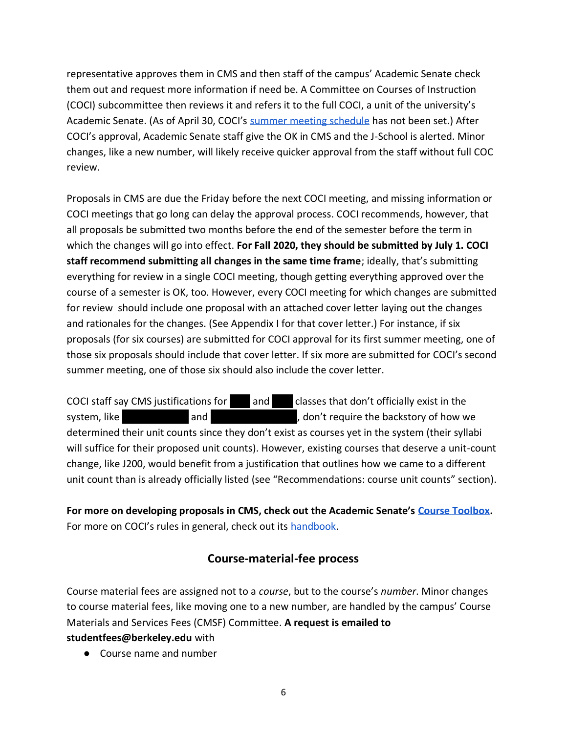representative approves them in CMS and then staff of the campus' Academic Senate check them out and request more information if need be. A Committee on Courses of Instruction (COCI) subcommittee then reviews it and refers it to the full COCI, a unit of the university's Academic Senate. (As of April 30, COCI's [summer meeting schedule](https://academic-senate.berkeley.edu/committees/coci/meetings) has not been set.) After COCI's approval, Academic Senate staff give the OK in CMS and the J-School is alerted. Minor changes, like a new number, will likely receive quicker approval from the staff without full COC review.

Proposals in CMS are due the Friday before the next COCI meeting, and missing information or COCI meetings that go long can delay the approval process. COCI recommends, however, that all proposals be submitted two months before the end of the semester before the term in which the changes will go into effect. **For Fall 2020, they should be submitted by July 1. COCI staff recommend submitting all changes in the same time frame**; ideally, that's submitting everything for review in a single COCI meeting, though getting everything approved over the course of a semester is OK, too. However, every COCI meeting for which changes are submitted for review should include one proposal with an attached cover letter laying out the changes and rationales for the changes. (See Appendix I for that cover letter.) For instance, if six proposals (for six courses) are submitted for COCI approval for its first summer meeting, one of those six proposals should include that cover letter. If six more are submitted for COCI's second summer meeting, one of those six should also include the cover letter.

COCI staff say CMS justifications for and classes that don't officially exist in the system, like  $|$  and  $|$  and  $|$  and  $|$ , don't require the backstory of how we determined their unit counts since they don't exist as courses yet in the system (their syllabi will suffice for their proposed unit counts). However, existing courses that deserve a unit-count change, like J200, would benefit from a justification that outlines how we came to a different unit count than is already officially listed (see "Recommendations: course unit counts" section).

**For more on developing proposals in CMS, check out the Academic Senate's [Course Toolbox.](https://academic-senate.berkeley.edu/course-toolbox)** For more on COCI's rules in general, check out its [handbook.](https://academic-senate.berkeley.edu/coci-handbook)

#### **Course-material-fee process**

Course material fees are assigned not to a *course*, but to the course's *number*. Minor changes to course material fees, like moving one to a new number, are handled by the campus' Course Materials and Services Fees (CMSF) Committee. **A request is emailed to** 

**[studentfees@berkeley.edu](mailto:studentfees@berkeley.edu)** with

● Course name and number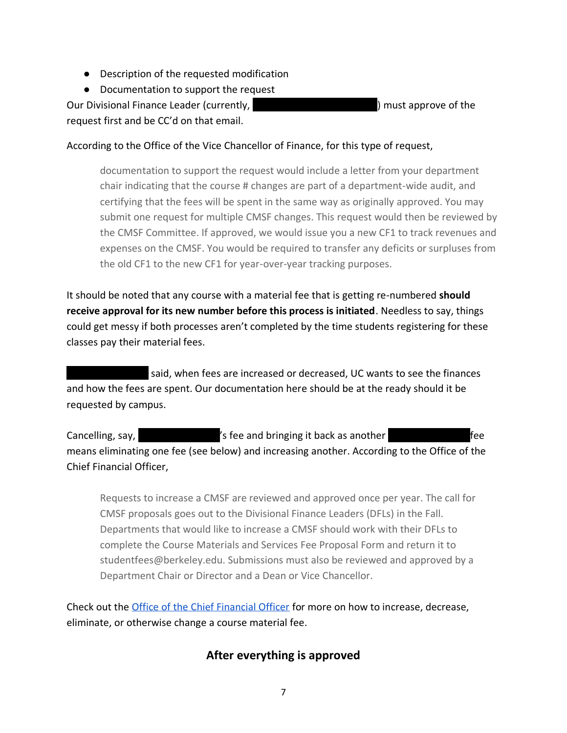- Description of the requested modification
- Documentation to support the request

Our Divisional Finance Leader (currently, entity and the summation of the solution of the solution of the solution of the solution of the solution of the solution of the solution of the solution of the solution of the solu request first and be CC'd on that email.

#### According to the Office of the Vice Chancellor of Finance, for this type of request,

documentation to support the request would include a letter from your department chair indicating that the course # changes are part of a department-wide audit, and certifying that the fees will be spent in the same way as originally approved. You may submit one request for multiple CMSF changes. This request would then be reviewed by the CMSF Committee. If approved, we would issue you a new CF1 to track revenues and expenses on the CMSF. You would be required to transfer any deficits or surpluses from the old CF1 to the new CF1 for year-over-year tracking purposes.

It should be noted that any course with a material fee that is getting re-numbered **should receive approval for its new number before this process is initiated**. Needless to say, things could get messy if both processes aren't completed by the time students registering for these classes pay their material fees.

said, when fees are increased or decreased, UC wants to see the finances and how the fees are spent. Our documentation here should be at the ready should it be requested by campus.

Cancelling, say,  $\blacksquare$  is fee and bringing it back as another  $\blacksquare$ means eliminating one fee (see below) and increasing another. According to the Office of the Chief Financial Officer,

Requests to increase a CMSF are reviewed and approved once per year. The call for CMSF proposals goes out to the Divisional Finance Leaders (DFLs) in the Fall. Departments that would like to increase a CMSF should work with their DFLs to complete the Course Materials and Services Fee Proposal Form and return it to studentfees@berkeley.edu. Submissions must also be reviewed and approved by a Department Chair or Director and a Dean or Vice Chancellor.

Check out the Office of [the Chief Financial Officer](https://cfo.berkeley.edu/departments/financial-planning-analysis/student-fees/cmsf/modify-existing-cmsf) for more on how to increase, decrease, eliminate, or otherwise change a course material fee.

#### **After everything is approved**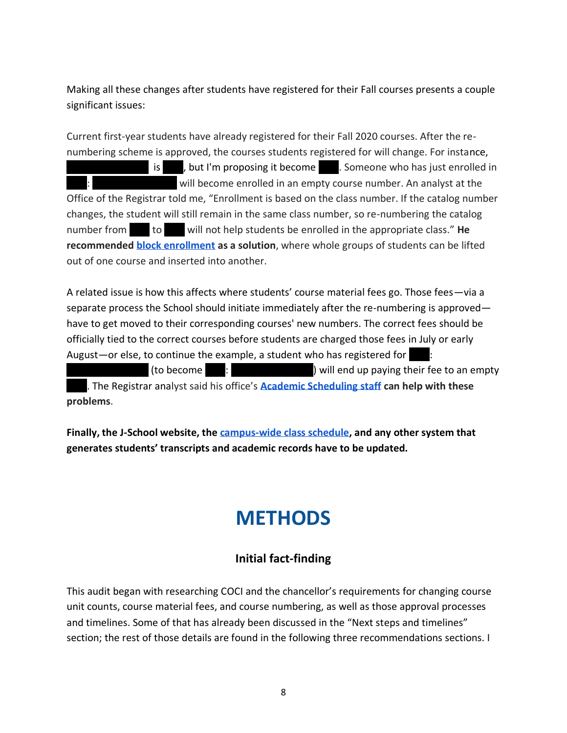Making all these changes after students have registered for their Fall courses presents a couple significant issues:

Current first-year students have already registered for their Fall 2020 courses. After the renumbering scheme is approved, the courses students registered for will change. For instance, |||||||||||||||| is ||||, but I'm proposing it become ||||. Someone who has just enrolled in will become enrolled in an empty course number. An analyst at the Office of the Registrar told me, "Enrollment is based on the class number. If the catalog number changes, the student will still remain in the same class number, so re-numbering the catalog number from to will not help students be enrolled in the appropriate class." He **recommended [block enrollment](https://sis.berkeley.edu/training/enrollment-management/block-batch-enrollment) as a solution**, where whole groups of students can be lifted out of one course and inserted into another.

A related issue is how this affects where students' course material fees go. Those fees—via a separate process the School should initiate immediately after the re-numbering is approved have to get moved to their corresponding courses' new numbers. The correct fees should be officially tied to the correct courses before students are charged those fees in July or early August—or else, to continue the example, a student who has registered for |||||||||||||||| (to become ||||: ||||||||||||||||) will end up paying their fee to an empty

||||. The Registrar analyst said his office's **[Academic Scheduling staff](https://registrar.berkeley.edu/scheduling) can help with these problems**.

**Finally, the J-School website, the [campus-wide class schedule,](https://classes.berkeley.edu/) and any other system that generates students' transcripts and academic records have to be updated.**

### **METHODS**

#### **Initial fact-finding**

This audit began with researching COCI and the chancellor's requirements for changing course unit counts, course material fees, and course numbering, as well as those approval processes and timelines. Some of that has already been discussed in the "Next steps and timelines" section; the rest of those details are found in the following three recommendations sections. I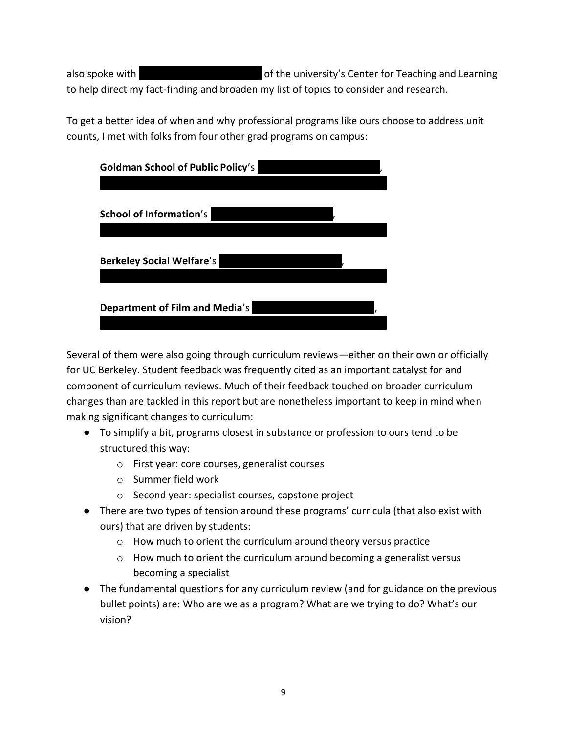also spoke with **interest and interest of the university's Center for Teaching and Learning** to help direct my fact-finding and broaden my list of topics to consider and research.

To get a better idea of when and why professional programs like ours choose to address unit counts, I met with folks from four other grad programs on campus:

| <b>Goldman School of Public Policy's</b> |  |
|------------------------------------------|--|
|                                          |  |
| <b>School of Information's</b>           |  |
|                                          |  |
| <b>Berkeley Social Welfare's</b>         |  |
|                                          |  |
| Department of Film and Media's           |  |
|                                          |  |

Several of them were also going through curriculum reviews—either on their own or officially for UC Berkeley. Student feedback was frequently cited as an important catalyst for and component of curriculum reviews. Much of their feedback touched on broader curriculum changes than are tackled in this report but are nonetheless important to keep in mind when making significant changes to curriculum:

- To simplify a bit, programs closest in substance or profession to ours tend to be structured this way:
	- o First year: core courses, generalist courses
	- o Summer field work
	- o Second year: specialist courses, capstone project
- There are two types of tension around these programs' curricula (that also exist with ours) that are driven by students:
	- o How much to orient the curriculum around theory versus practice
	- o How much to orient the curriculum around becoming a generalist versus becoming a specialist
- The fundamental questions for any curriculum review (and for guidance on the previous bullet points) are: Who are we as a program? What are we trying to do? What's our vision?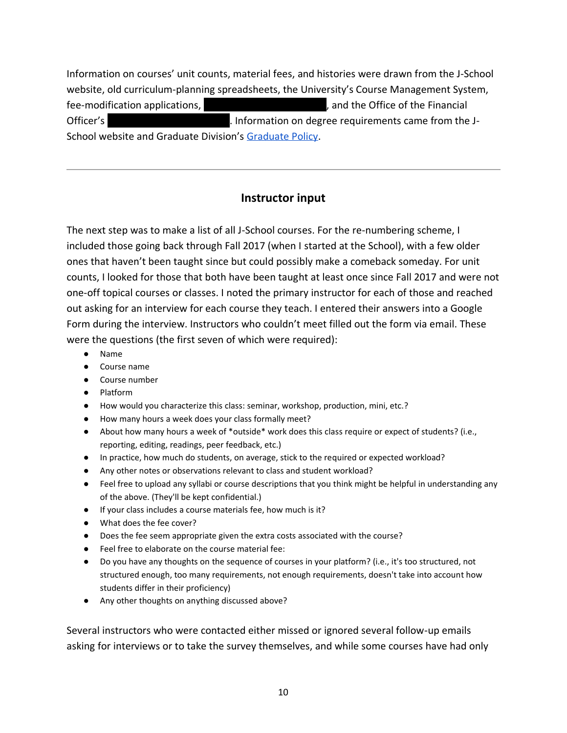Information on courses' unit counts, material fees, and histories were drawn from the J-School website, old curriculum-planning spreadsheets, the University's Course Management System, fee-modification applications,  $\qquad \qquad$ , and the Office of the Financial Officer's **Number 1** || Information on degree requirements came from the J-School website and Graduate Division's [Graduate Policy.](https://grad.berkeley.edu/policy/)

#### **Instructor input**

The next step was to make a list of all J-School courses. For the re-numbering scheme, I included those going back through Fall 2017 (when I started at the School), with a few older ones that haven't been taught since but could possibly make a comeback someday. For unit counts, I looked for those that both have been taught at least once since Fall 2017 and were not one-off topical courses or classes. I noted the primary instructor for each of those and reached out asking for an interview for each course they teach. I entered their answers into a Google Form during the interview. Instructors who couldn't meet filled out the form via email. These were the questions (the first seven of which were required):

- Name
- Course name
- Course number
- Platform
- How would you characterize this class: seminar, workshop, production, mini, etc.?
- How many hours a week does your class formally meet?
- About how many hours a week of \*outside\* work does this class require or expect of students? (i.e., reporting, editing, readings, peer feedback, etc.)
- In practice, how much do students, on average, stick to the required or expected workload?
- Any other notes or observations relevant to class and student workload?
- Feel free to upload any syllabi or course descriptions that you think might be helpful in understanding any of the above. (They'll be kept confidential.)
- If your class includes a course materials fee, how much is it?
- What does the fee cover?
- Does the fee seem appropriate given the extra costs associated with the course?
- Feel free to elaborate on the course material fee:
- Do you have any thoughts on the sequence of courses in your platform? (i.e., it's too structured, not structured enough, too many requirements, not enough requirements, doesn't take into account how students differ in their proficiency)
- Any other thoughts on anything discussed above?

Several instructors who were contacted either missed or ignored several follow-up emails asking for interviews or to take the survey themselves, and while some courses have had only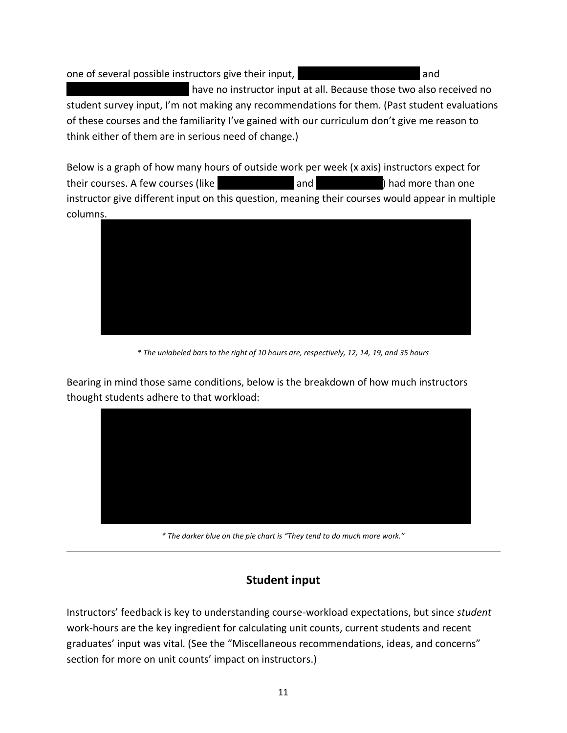one of several possible instructors give their input,  $|$  and  $|$ | have no instructor input at all. Because those two also received no

student survey input, I'm not making any recommendations for them. (Past student evaluations of these courses and the familiarity I've gained with our curriculum don't give me reason to think either of them are in serious need of change.)

Below is a graph of how many hours of outside work per week (x axis) instructors expect for their courses. A few courses (like ||||||||||||||| and |||||||||||||) had more than one instructor give different input on this question, meaning their courses would appear in multiple columns.



*\* The unlabeled bars to the right of 10 hours are, respectively, 12, 14, 19, and 35 hours*

Bearing in mind those same conditions, below is the breakdown of how much instructors thought students adhere to that workload:



*\* The darker blue on the pie chart is "They tend to do much more work."*

#### **Student input**

Instructors' feedback is key to understanding course-workload expectations, but since *student* work-hours are the key ingredient for calculating unit counts, current students and recent graduates' input was vital. (See the "Miscellaneous recommendations, ideas, and concerns" section for more on unit counts' impact on instructors.)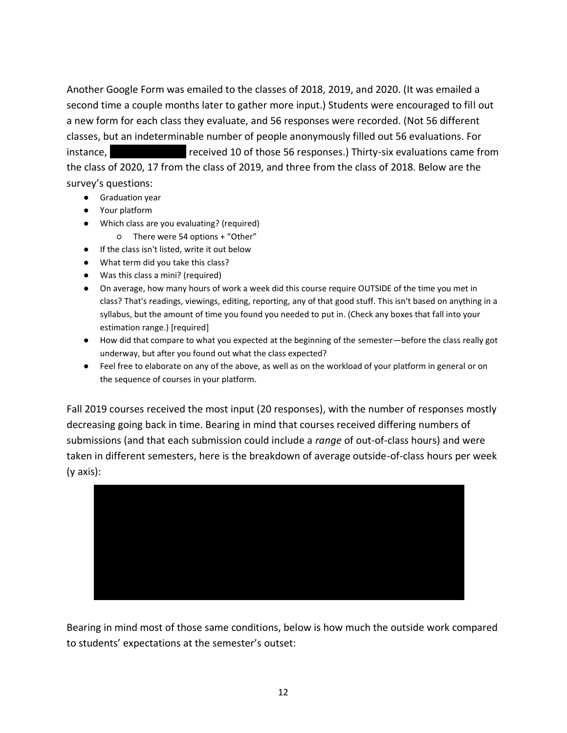Another Google Form was emailed to the classes of 2018, 2019, and 2020. (It was emailed a second time a couple months later to gather more input.) Students were encouraged to fill out a new form for each class they evaluate, and 56 responses were recorded. (Not 56 different classes, but an indeterminable number of people anonymously filled out 56 evaluations. For instance,  $\blacksquare$  received 10 of those 56 responses.) Thirty-six evaluations came from the class of 2020, 17 from the class of 2019, and three from the class of 2018. Below are the survey's questions:

- Graduation year
- Your platform
- Which class are you evaluating? (required)
	- There were 54 options + "Other"
- If the class isn't listed, write it out below
- What term did you take this class?
- Was this class a mini? (required)
- On average, how many hours of work a week did this course require OUTSIDE of the time you met in class? That's readings, viewings, editing, reporting, any of that good stuff. This isn't based on anything in a syllabus, but the amount of time you found you needed to put in. (Check any boxes that fall into your estimation range.) [required]
- How did that compare to what you expected at the beginning of the semester—before the class really got underway, but after you found out what the class expected?
- Feel free to elaborate on any of the above, as well as on the workload of your platform in general or on the sequence of courses in your platform.

Fall 2019 courses received the most input (20 responses), with the number of responses mostly decreasing going back in time. Bearing in mind that courses received differing numbers of submissions (and that each submission could include a *range* of out-of-class hours) and were taken in different semesters, here is the breakdown of average outside-of-class hours per week (y axis):



Bearing in mind most of those same conditions, below is how much the outside work compared to students' expectations at the semester's outset: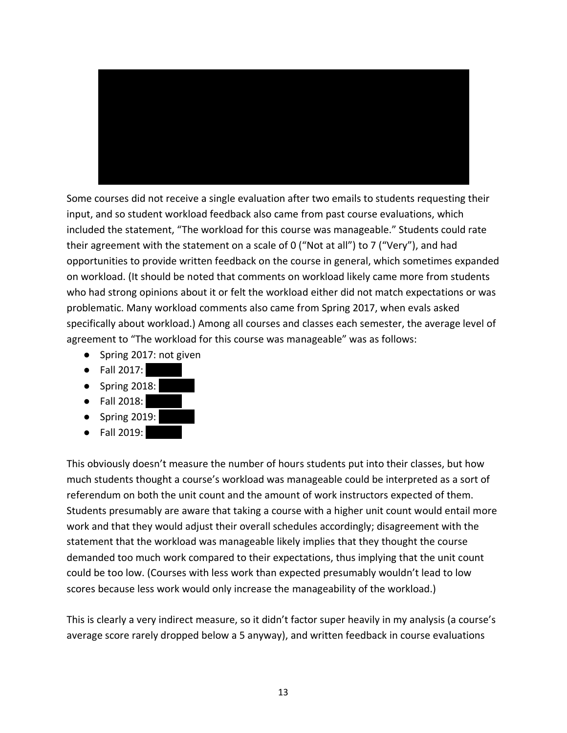

Some courses did not receive a single evaluation after two emails to students requesting their input, and so student workload feedback also came from past course evaluations, which included the statement, "The workload for this course was manageable." Students could rate their agreement with the statement on a scale of 0 ("Not at all") to 7 ("Very"), and had opportunities to provide written feedback on the course in general, which sometimes expanded on workload. (It should be noted that comments on workload likely came more from students who had strong opinions about it or felt the workload either did not match expectations or was problematic. Many workload comments also came from Spring 2017, when evals asked specifically about workload.) Among all courses and classes each semester, the average level of agreement to "The workload for this course was manageable" was as follows:

- Spring 2017: not given
- Fall 2017: |||||||
- Spring 2018: |||||||
- Fall 2018: |||||||
- Spring 2019: |||||||
- Fall 2019: |||||||

This obviously doesn't measure the number of hours students put into their classes, but how much students thought a course's workload was manageable could be interpreted as a sort of referendum on both the unit count and the amount of work instructors expected of them. Students presumably are aware that taking a course with a higher unit count would entail more work and that they would adjust their overall schedules accordingly; disagreement with the statement that the workload was manageable likely implies that they thought the course demanded too much work compared to their expectations, thus implying that the unit count could be too low. (Courses with less work than expected presumably wouldn't lead to low scores because less work would only increase the manageability of the workload.)

This is clearly a very indirect measure, so it didn't factor super heavily in my analysis (a course's average score rarely dropped below a 5 anyway), and written feedback in course evaluations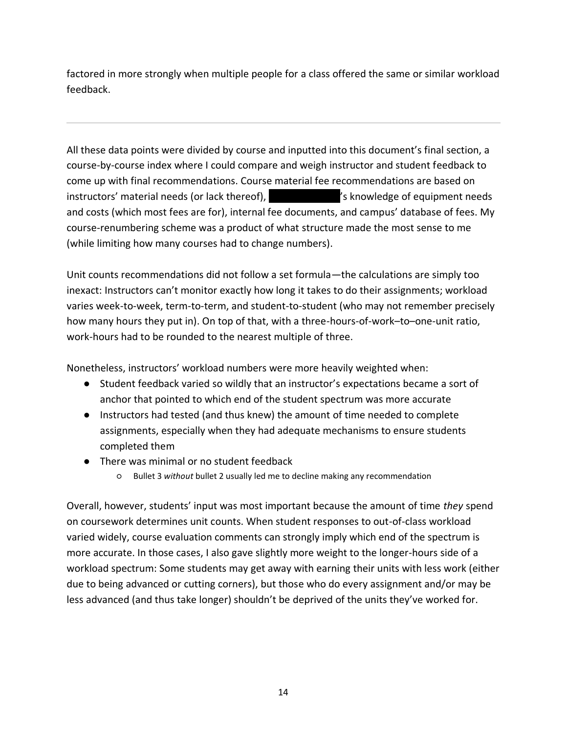factored in more strongly when multiple people for a class offered the same or similar workload feedback.

All these data points were divided by course and inputted into this document's final section, a course-by-course index where I could compare and weigh instructor and student feedback to come up with final recommendations. Course material fee recommendations are based on instructors' material needs (or lack thereof),  $\blacksquare$  is knowledge of equipment needs and costs (which most fees are for), internal fee documents, and campus' database of fees. My course-renumbering scheme was a product of what structure made the most sense to me (while limiting how many courses had to change numbers).

Unit counts recommendations did not follow a set formula—the calculations are simply too inexact: Instructors can't monitor exactly how long it takes to do their assignments; workload varies week-to-week, term-to-term, and student-to-student (who may not remember precisely how many hours they put in). On top of that, with a three-hours-of-work–to–one-unit ratio, work-hours had to be rounded to the nearest multiple of three.

Nonetheless, instructors' workload numbers were more heavily weighted when:

- Student feedback varied so wildly that an instructor's expectations became a sort of anchor that pointed to which end of the student spectrum was more accurate
- Instructors had tested (and thus knew) the amount of time needed to complete assignments, especially when they had adequate mechanisms to ensure students completed them
- There was minimal or no student feedback
	- Bullet 3 *without* bullet 2 usually led me to decline making any recommendation

Overall, however, students' input was most important because the amount of time *they* spend on coursework determines unit counts. When student responses to out-of-class workload varied widely, course evaluation comments can strongly imply which end of the spectrum is more accurate. In those cases, I also gave slightly more weight to the longer-hours side of a workload spectrum: Some students may get away with earning their units with less work (either due to being advanced or cutting corners), but those who do every assignment and/or may be less advanced (and thus take longer) shouldn't be deprived of the units they've worked for.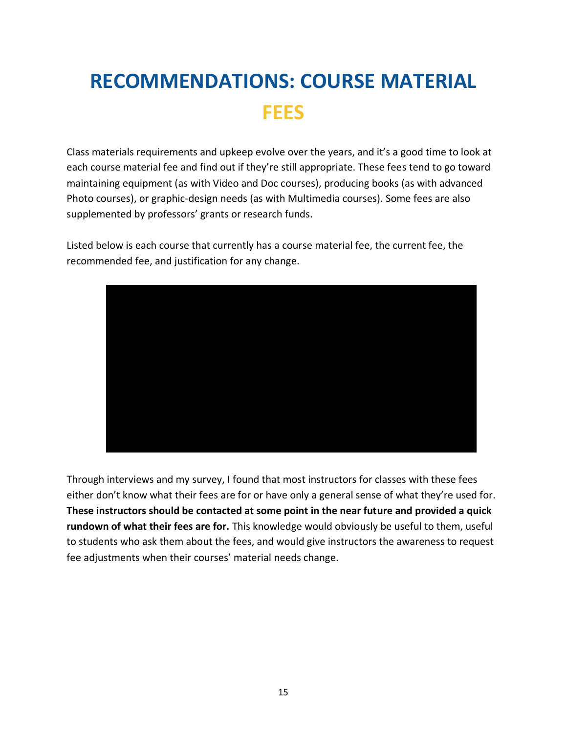## **RECOMMENDATIONS: COURSE MATERIAL FEES**

Class materials requirements and upkeep evolve over the years, and it's a good time to look at each course material fee and find out if they're still appropriate. These fees tend to go toward maintaining equipment (as with Video and Doc courses), producing books (as with advanced Photo courses), or graphic-design needs (as with Multimedia courses). Some fees are also supplemented by professors' grants or research funds.

Listed below is each course that currently has a course material fee, the current fee, the recommended fee, and justification for any change.



Through interviews and my survey, I found that most instructors for classes with these fees either don't know what their fees are for or have only a general sense of what they're used for. **These instructors should be contacted at some point in the near future and provided a quick rundown of what their fees are for.** This knowledge would obviously be useful to them, useful to students who ask them about the fees, and would give instructors the awareness to request fee adjustments when their courses' material needs change.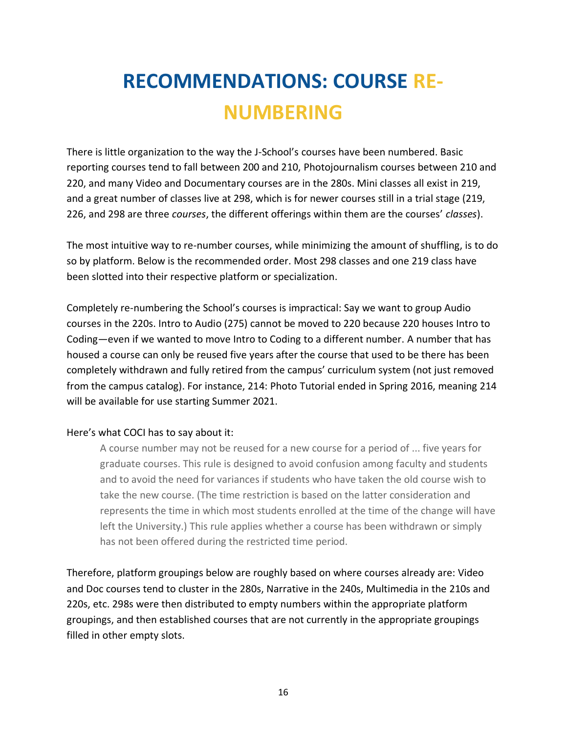## **RECOMMENDATIONS: COURSE RE-NUMBERING**

There is little organization to the way the J-School's courses have been numbered. Basic reporting courses tend to fall between 200 and 210, Photojournalism courses between 210 and 220, and many Video and Documentary courses are in the 280s. Mini classes all exist in 219, and a great number of classes live at 298, which is for newer courses still in a trial stage (219, 226, and 298 are three *courses*, the different offerings within them are the courses' *classes*).

The most intuitive way to re-number courses, while minimizing the amount of shuffling, is to do so by platform. Below is the recommended order. Most 298 classes and one 219 class have been slotted into their respective platform or specialization.

Completely re-numbering the School's courses is impractical: Say we want to group Audio courses in the 220s. Intro to Audio (275) cannot be moved to 220 because 220 houses Intro to Coding—even if we wanted to move Intro to Coding to a different number. A number that has housed a course can only be reused five years after the course that used to be there has been completely withdrawn and fully retired from the campus' curriculum system (not just removed from the campus catalog). For instance, 214: Photo Tutorial ended in Spring 2016, meaning 214 will be available for use starting Summer 2021.

#### Here's what COCI has to say about it:

A course number may not be reused for a new course for a period of ... five years for graduate courses. This rule is designed to avoid confusion among faculty and students and to avoid the need for variances if students who have taken the old course wish to take the new course. (The time restriction is based on the latter consideration and represents the time in which most students enrolled at the time of the change will have left the University.) This rule applies whether a course has been withdrawn or simply has not been offered during the restricted time period.

Therefore, platform groupings below are roughly based on where courses already are: Video and Doc courses tend to cluster in the 280s, Narrative in the 240s, Multimedia in the 210s and 220s, etc. 298s were then distributed to empty numbers within the appropriate platform groupings, and then established courses that are not currently in the appropriate groupings filled in other empty slots.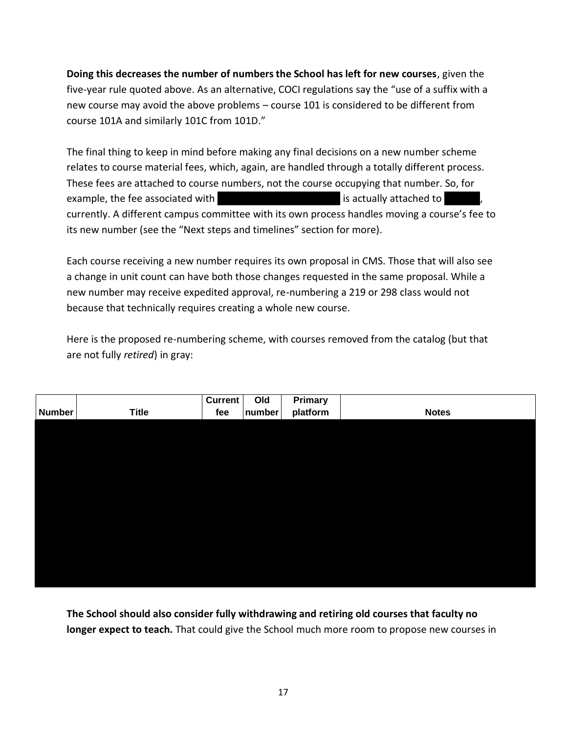**Doing this decreases the number of numbers the School has left for new courses**, given the five-year rule quoted above. As an alternative, COCI regulations say the "use of a suffix with a new course may avoid the above problems – course 101 is considered to be different from course 101A and similarly 101C from 101D."

The final thing to keep in mind before making any final decisions on a new number scheme relates to course material fees, which, again, are handled through a totally different process. These fees are attached to course numbers, not the course occupying that number. So, for example, the fee associated with  $|$  and the set of is actually attached to  $|$ currently. A different campus committee with its own process handles moving a course's fee to its new number (see the "Next steps and timelines" section for more).

Each course receiving a new number requires its own proposal in CMS. Those that will also see a change in unit count can have both those changes requested in the same proposal. While a new number may receive expedited approval, re-numbering a 219 or 298 class would not because that technically requires creating a whole new course.

Here is the proposed re-numbering scheme, with courses removed from the catalog (but that are not fully *retired*) in gray:

|               |              | <b>Current</b> | Old    | <b>Primary</b> |              |
|---------------|--------------|----------------|--------|----------------|--------------|
| <b>Number</b> | <b>Title</b> | fee            | number | platform       | <b>Notes</b> |
|               |              |                |        |                |              |
|               |              |                |        |                |              |
|               |              |                |        |                |              |
|               |              |                |        |                |              |
|               |              |                |        |                |              |
|               |              |                |        |                |              |
|               |              |                |        |                |              |
|               |              |                |        |                |              |
|               |              |                |        |                |              |
|               |              |                |        |                |              |
|               |              |                |        |                |              |
|               |              |                |        |                |              |
|               |              |                |        |                |              |

**The School should also consider fully withdrawing and retiring old courses that faculty no longer expect to teach.** That could give the School much more room to propose new courses in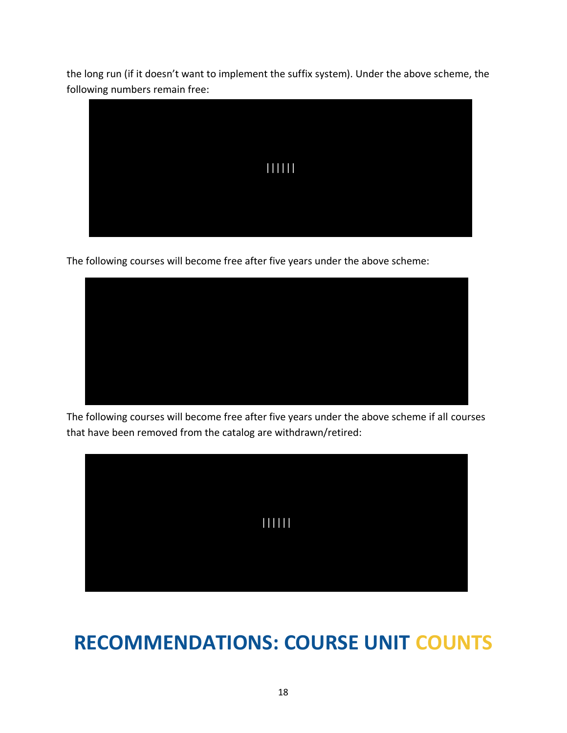the long run (if it doesn't want to implement the suffix system). Under the above scheme, the following numbers remain free:



The following courses will become free after five years under the above scheme:



The following courses will become free after five years under the above scheme if all courses that have been removed from the catalog are withdrawn/retired:



### **RECOMMENDATIONS: COURSE UNIT COUNTS**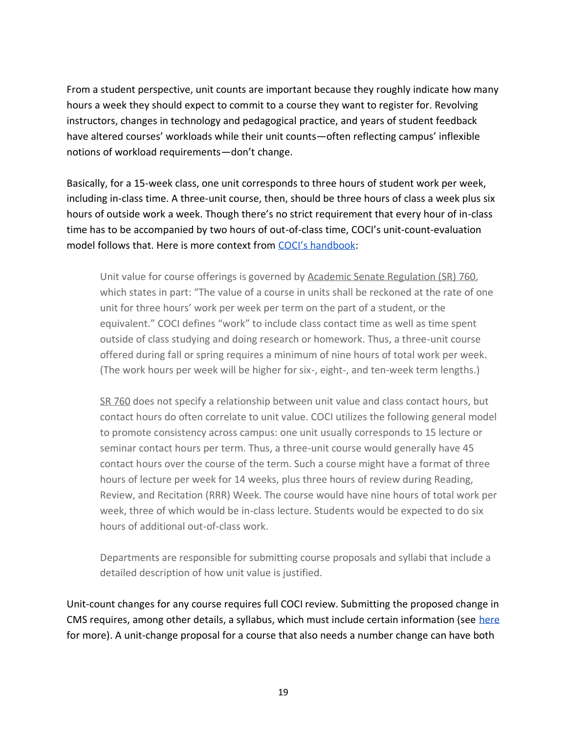From a student perspective, unit counts are important because they roughly indicate how many hours a week they should expect to commit to a course they want to register for. Revolving instructors, changes in technology and pedagogical practice, and years of student feedback have altered courses' workloads while their unit counts—often reflecting campus' inflexible notions of workload requirements—don't change.

Basically, for a 15-week class, one unit corresponds to three hours of student work per week, including in-class time. A three-unit course, then, should be three hours of class a week plus six hours of outside work a week. Though there's no strict requirement that every hour of in-class time has to be accompanied by two hours of out-of-class time, COCI's unit-count-evaluation model follows that. Here is more context from [COCI's handbook](https://academic-senate.berkeley.edu/coci-handbook):

Unit value for course offerings is governed by [Academic Senate Regulation \(SR\) 760,](http://senate.universityofcalifornia.edu/bylaws-regulations/regulations/rpart3.html#r760) which states in part: "The value of a course in units shall be reckoned at the rate of one unit for three hours' work per week per term on the part of a student, or the equivalent." COCI defines "work" to include class contact time as well as time spent outside of class studying and doing research or homework. Thus, a three-unit course offered during fall or spring requires a minimum of nine hours of total work per week. (The work hours per week will be higher for six-, eight-, and ten-week term lengths.)

[SR 760](http://senate.universityofcalifornia.edu/bylaws-regulations/regulations/rpart3.html#r760) does not specify a relationship between unit value and class contact hours, but contact hours do often correlate to unit value. COCI utilizes the following general model to promote consistency across campus: one unit usually corresponds to 15 lecture or seminar contact hours per term. Thus, a three-unit course would generally have 45 contact hours over the course of the term. Such a course might have a format of three hours of lecture per week for 14 weeks, plus three hours of review during Reading, Review, and Recitation (RRR) Week. The course would have nine hours of total work per week, three of which would be in-class lecture. Students would be expected to do six hours of additional out-of-class work.

Departments are responsible for submitting course proposals and syllabi that include a detailed description of how unit value is justified.

Unit-count changes for any course requires full COCI review. Submitting the proposed change in CMS requires, among other details, a syllabus, which must include certain information (see [here](https://academic-senate.berkeley.edu/course-toolbox/6.1) for more). A unit-change proposal for a course that also needs a number change can have both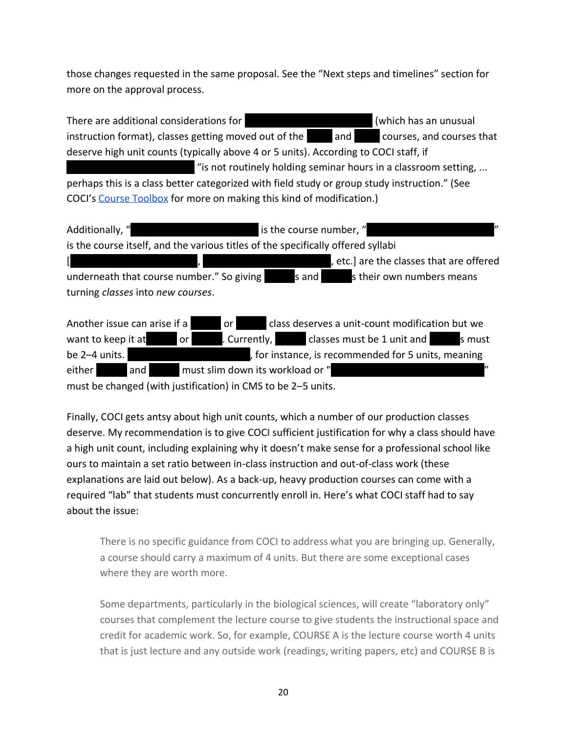those changes requested in the same proposal. See the "Next steps and timelines" section for more on the approval process.

There are additional considerations for ||||||||||||||||||||||||| (which has an unusual instruction format), classes getting moved out of the and and courses, and courses that deserve high unit counts (typically above 4 or 5 units). According to COCI staff, if "is not routinely holding seminar hours in a classroom setting, ... perhaps this is a class better categorized with field study or group study instruction." (See COCI's [Course Toolbox](https://academic-senate.berkeley.edu/course-toolbox) for more on making this kind of modification.)

Additionally, "  $\blacksquare$   $\blacksquare$   $\blacksquare$   $\blacksquare$   $\blacksquare$ is the course number, " is the course itself, and the various titles of the specifically offered syllabi [|||||||||||||||||||||||||, |||||||||||||||||||||||||, etc.] are the classes that are offered underneath that course number." So giving sand sand is their own numbers means turning *classes* into *new courses*. Another issue can arise if a  $|$  or  $|$  class deserves a unit-count modification but we

want to keep it at|||||| or ||||||. Currently, |||||| classes must be 1 unit and ||||||s must be 2–4 units. ||||||||||||||||||||||||, for instance, is recommended for 5 units, meaning either and and must slim down its workload or "

must be changed (with justification) in CMS to be 2–5 units.

Finally, COCI gets antsy about high unit counts, which a number of our production classes deserve. My recommendation is to give COCI sufficient justification for why a class should have a high unit count, including explaining why it doesn't make sense for a professional school like ours to maintain a set ratio between in-class instruction and out-of-class work (these explanations are laid out below). As a back-up, heavy production courses can come with a required "lab" that students must concurrently enroll in. Here's what COCI staff had to say about the issue:

There is no specific guidance from COCI to address what you are bringing up. Generally, a course should carry a maximum of 4 units. But there are some exceptional cases where they are worth more.

Some departments, particularly in the biological sciences, will create "laboratory only" courses that complement the lecture course to give students the instructional space and credit for academic work. So, for example, COURSE A is the lecture course worth 4 units that is just lecture and any outside work (readings, writing papers, etc) and COURSE B is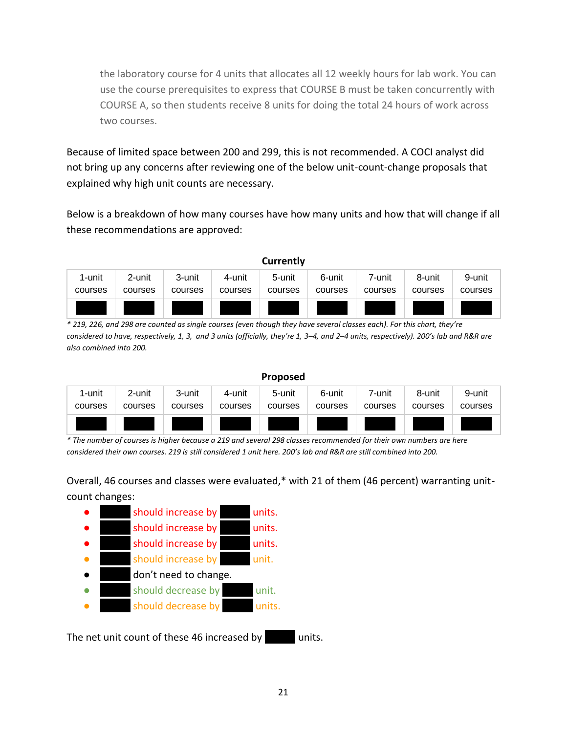the laboratory course for 4 units that allocates all 12 weekly hours for lab work. You can use the course prerequisites to express that COURSE B must be taken concurrently with COURSE A, so then students receive 8 units for doing the total 24 hours of work across two courses.

Because of limited space between 200 and 299, this is not recommended. A COCI analyst did not bring up any concerns after reviewing one of the below unit-count-change proposals that explained why high unit counts are necessary.

Below is a breakdown of how many courses have how many units and how that will change if all these recommendations are approved:

| Currently |         |         |         |         |         |         |         |         |
|-----------|---------|---------|---------|---------|---------|---------|---------|---------|
| 1-unit    | 2-unit  | 3-unit  | 4-unit  | 5-unit  | 6-unit  | 7-unit  | 8-unit  | 9-unit  |
| courses   | courses | courses | courses | courses | courses | courses | courses | courses |
|           |         |         |         |         |         |         |         |         |

*\* 219, 226, and 298 are counted as single courses (even though they have several classes each). For this chart, they're considered to have, respectively, 1, 3, and 3 units (officially, they're 1, 3–4, and 2–4 units, respectively). 200's lab and R&R are also combined into 200.*

| <b>Proposed</b> |         |         |         |         |         |         |         |         |
|-----------------|---------|---------|---------|---------|---------|---------|---------|---------|
| 1-unit          | 2-unit  | 3-unit  | 4-unit  | 5-unit  | 6-unit  | 7-unit  | 8-unit  | 9-unit  |
| courses         | courses | courses | courses | courses | courses | courses | courses | courses |
|                 |         |         |         |         |         |         |         |         |

*\* The number of courses is higher because a 219 and several 298 classes recommended for their own numbers are here considered their own courses. 219 is still considered 1 unit here. 200's lab and R&R are still combined into 200.*

Overall, 46 courses and classes were evaluated,\* with 21 of them (46 percent) warranting unitcount changes:

|  | should increase by    | units. |
|--|-----------------------|--------|
|  | should increase by    | units. |
|  | should increase by    | units. |
|  | should increase by    | unit.  |
|  | don't need to change. |        |
|  | should decrease by    | unit.  |
|  | should decrease by    | units. |
|  |                       |        |

The net unit count of these 46 increased by units.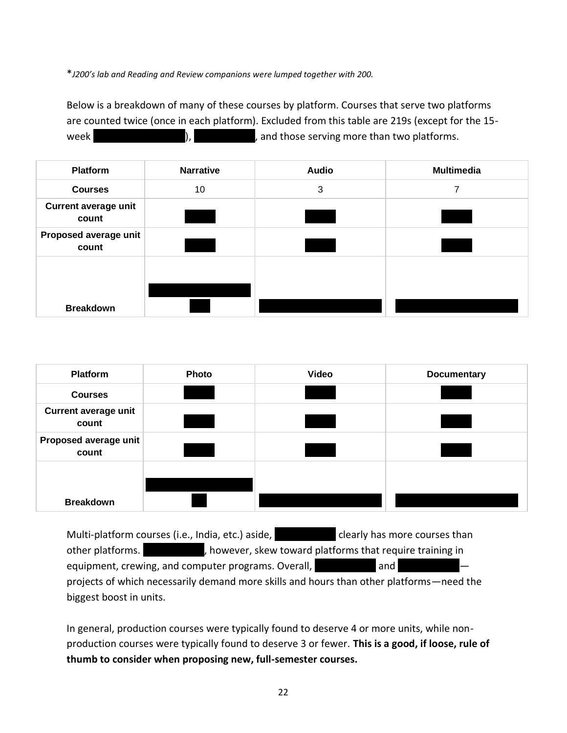\**J200's lab and Reading and Review companions were lumped together with 200.* 

Below is a breakdown of many of these courses by platform. Courses that serve two platforms are counted twice (once in each platform). Excluded from this table are 219s (except for the 15 week  $|$ ,  $|$ ,  $|$ ,  $|$ , and those serving more than two platforms.

| <b>Platform</b>                      | <b>Narrative</b> | <b>Audio</b> | <b>Multimedia</b> |
|--------------------------------------|------------------|--------------|-------------------|
| <b>Courses</b>                       | 10               | 3            | 7                 |
| <b>Current average unit</b><br>count |                  |              |                   |
| Proposed average unit<br>count       |                  |              |                   |
|                                      |                  |              |                   |
| <b>Breakdown</b>                     |                  |              |                   |

| <b>Platform</b>                      | <b>Photo</b> | Video | <b>Documentary</b> |
|--------------------------------------|--------------|-------|--------------------|
| <b>Courses</b>                       |              |       |                    |
| <b>Current average unit</b><br>count |              |       |                    |
| Proposed average unit<br>count       |              |       |                    |
|                                      |              |       |                    |
| <b>Breakdown</b>                     |              |       |                    |

Multi-platform courses (i.e., India, etc.) aside, |||||||||||| clearly has more courses than other platforms.  $|$ , however, skew toward platforms that require training in equipment, crewing, and computer programs. Overall, and  $|$  and  $|$ projects of which necessarily demand more skills and hours than other platforms—need the biggest boost in units.

In general, production courses were typically found to deserve 4 or more units, while nonproduction courses were typically found to deserve 3 or fewer. **This is a good, if loose, rule of thumb to consider when proposing new, full-semester courses.**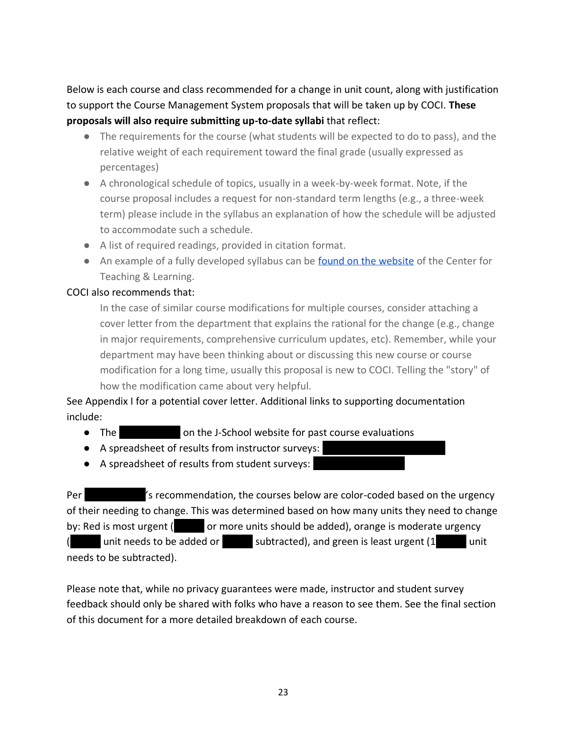Below is each course and class recommended for a change in unit count, along with justification to support the Course Management System proposals that will be taken up by COCI. **These proposals will also require submitting up-to-date syllabi** that reflect:

- The requirements for the course (what students will be expected to do to pass), and the relative weight of each requirement toward the final grade (usually expressed as percentages)
- A chronological schedule of topics, usually in a week-by-week format. Note, if the course proposal includes a request for non-standard term lengths (e.g., a three-week term) please include in the syllabus an explanation of how the schedule will be adjusted to accommodate such a schedule.
- A list of required readings, provided in citation format.
- An example of a fully developed syllabus can be [found on the website](https://academic-senate.berkeley.edu/sites/default/files/syllabus_components.pdf) of the Center for Teaching & Learning.

#### COCI also recommends that:

In the case of similar course modifications for multiple courses, consider attaching a cover letter from the department that explains the rational for the change (e.g., change in major requirements, comprehensive curriculum updates, etc). Remember, while your department may have been thinking about or discussing this new course or course modification for a long time, usually this proposal is new to COCI. Telling the "story" of how the modification came about very helpful.

See Appendix I for a potential cover letter. Additional links to supporting documentation include:

- The **No. 2018** on the J-School website for past course evaluations
- A spreadsheet of results from instructor surveys:
- A spreadsheet of results from student surveys:

Per ||||||||||||'s recommendation, the courses below are color-coded based on the urgency of their needing to change. This was determined based on how many units they need to change by: Red is most urgent ( $\blacksquare$  or more units should be added), orange is moderate urgency (|||||| unit needs to be added or |||||| subtracted), and green is least urgent (1|||||| unit needs to be subtracted).

Please note that, while no privacy guarantees were made, instructor and student survey feedback should only be shared with folks who have a reason to see them. See the final section of this document for a more detailed breakdown of each course.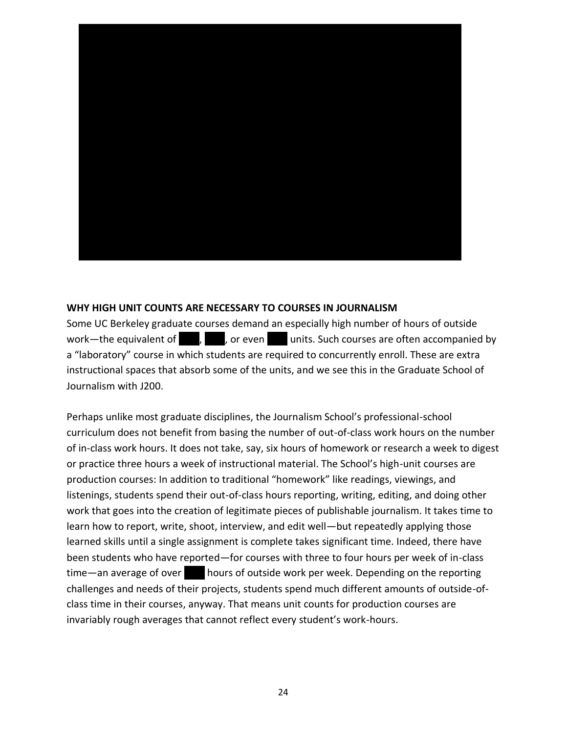

#### **WHY HIGH UNIT COUNTS ARE NECESSARY TO COURSES IN JOURNALISM**

Some UC Berkeley graduate courses demand an especially high number of hours of outside work—the equivalent of  $|$ ,  $|$ , or even  $|$  units. Such courses are often accompanied by a "laboratory" course in which students are required to concurrently enroll. These are extra instructional spaces that absorb some of the units, and we see this in the Graduate School of Journalism with J200.

Perhaps unlike most graduate disciplines, the Journalism School's professional-school curriculum does not benefit from basing the number of out-of-class work hours on the number of in-class work hours. It does not take, say, six hours of homework or research a week to digest or practice three hours a week of instructional material. The School's high-unit courses are production courses: In addition to traditional "homework" like readings, viewings, and listenings, students spend their out-of-class hours reporting, writing, editing, and doing other work that goes into the creation of legitimate pieces of publishable journalism. It takes time to learn how to report, write, shoot, interview, and edit well—but repeatedly applying those learned skills until a single assignment is complete takes significant time. Indeed, there have been students who have reported—for courses with three to four hours per week of in-class time—an average of over hours of outside work per week. Depending on the reporting challenges and needs of their projects, students spend much different amounts of outside-ofclass time in their courses, anyway. That means unit counts for production courses are invariably rough averages that cannot reflect every student's work-hours.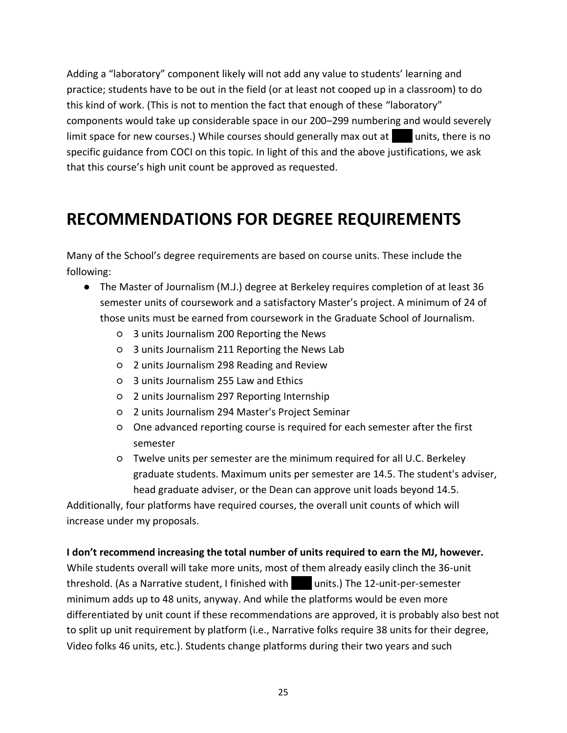Adding a "laboratory" component likely will not add any value to students' learning and practice; students have to be out in the field (or at least not cooped up in a classroom) to do this kind of work. (This is not to mention the fact that enough of these "laboratory" components would take up considerable space in our 200–299 numbering and would severely limit space for new courses.) While courses should generally max out at units, there is no specific guidance from COCI on this topic. In light of this and the above justifications, we ask that this course's high unit count be approved as requested.

### **RECOMMENDATIONS FOR DEGREE REQUIREMENTS**

Many of the School's degree requirements are based on course units. These include the following:

- The Master of Journalism (M.J.) degree at Berkeley requires completion of at least 36 semester units of coursework and a satisfactory Master's project. A minimum of 24 of those units must be earned from coursework in the Graduate School of Journalism.
	- 3 units Journalism 200 Reporting the News
	- 3 units Journalism 211 Reporting the News Lab
	- 2 units Journalism 298 Reading and Review
	- 3 units Journalism 255 Law and Ethics
	- 2 units Journalism 297 Reporting Internship
	- 2 units Journalism 294 Master's Project Seminar
	- One advanced reporting course is required for each semester after the first semester
	- Twelve units per semester are the minimum required for all U.C. Berkeley graduate students. Maximum units per semester are 14.5. The student's adviser, head graduate adviser, or the Dean can approve unit loads beyond 14.5.

Additionally, four platforms have required courses, the overall unit counts of which will increase under my proposals.

#### **I don't recommend increasing the total number of units required to earn the MJ, however.**

While students overall will take more units, most of them already easily clinch the 36-unit threshold. (As a Narrative student, I finished with units.) The 12-unit-per-semester minimum adds up to 48 units, anyway. And while the platforms would be even more differentiated by unit count if these recommendations are approved, it is probably also best not to split up unit requirement by platform (i.e., Narrative folks require 38 units for their degree, Video folks 46 units, etc.). Students change platforms during their two years and such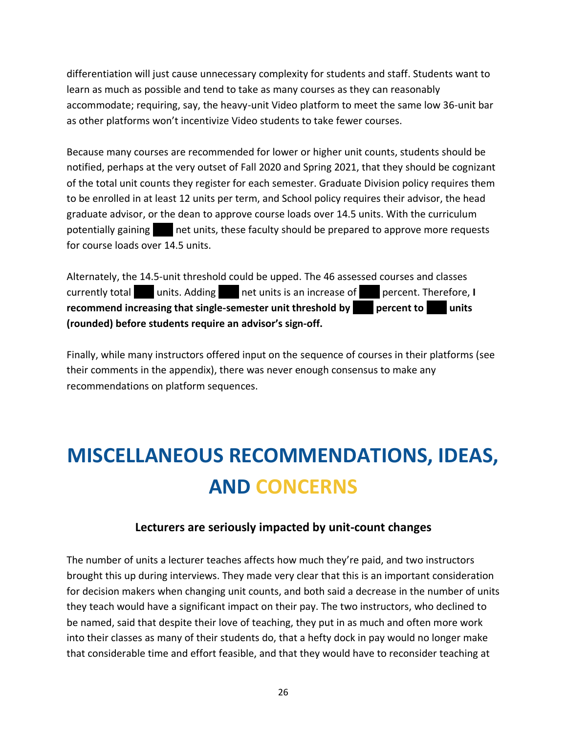differentiation will just cause unnecessary complexity for students and staff. Students want to learn as much as possible and tend to take as many courses as they can reasonably accommodate; requiring, say, the heavy-unit Video platform to meet the same low 36-unit bar as other platforms won't incentivize Video students to take fewer courses.

Because many courses are recommended for lower or higher unit counts, students should be notified, perhaps at the very outset of Fall 2020 and Spring 2021, that they should be cognizant of the total unit counts they register for each semester. Graduate Division policy requires them to be enrolled in at least 12 units per term, and School policy requires their advisor, the head graduate advisor, or the dean to approve course loads over 14.5 units. With the curriculum potentially gaining |||| net units, these faculty should be prepared to approve more requests for course loads over 14.5 units.

Alternately, the 14.5-unit threshold could be upped. The 46 assessed courses and classes currently total units. Adding net units is an increase of percent. Therefore, **I recommend increasing that single-semester unit threshold by** |||| **percent to** |||| **units (rounded) before students require an advisor's sign-off.**

Finally, while many instructors offered input on the sequence of courses in their platforms (see their comments in the appendix), there was never enough consensus to make any recommendations on platform sequences.

## **MISCELLANEOUS RECOMMENDATIONS, IDEAS, AND CONCERNS**

#### **Lecturers are seriously impacted by unit-count changes**

The number of units a lecturer teaches affects how much they're paid, and two instructors brought this up during interviews. They made very clear that this is an important consideration for decision makers when changing unit counts, and both said a decrease in the number of units they teach would have a significant impact on their pay. The two instructors, who declined to be named, said that despite their love of teaching, they put in as much and often more work into their classes as many of their students do, that a hefty dock in pay would no longer make that considerable time and effort feasible, and that they would have to reconsider teaching at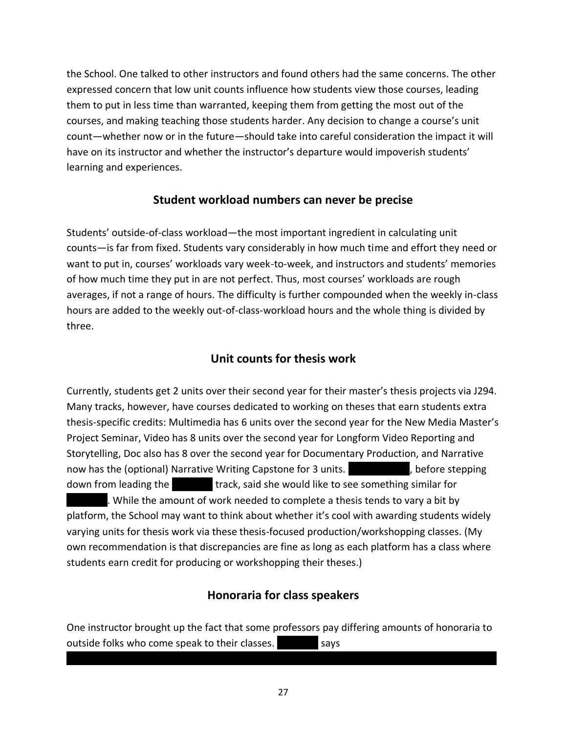the School. One talked to other instructors and found others had the same concerns. The other expressed concern that low unit counts influence how students view those courses, leading them to put in less time than warranted, keeping them from getting the most out of the courses, and making teaching those students harder. Any decision to change a course's unit count—whether now or in the future—should take into careful consideration the impact it will have on its instructor and whether the instructor's departure would impoverish students' learning and experiences.

#### **Student workload numbers can never be precise**

Students' outside-of-class workload—the most important ingredient in calculating unit counts—is far from fixed. Students vary considerably in how much time and effort they need or want to put in, courses' workloads vary week-to-week, and instructors and students' memories of how much time they put in are not perfect. Thus, most courses' workloads are rough averages, if not a range of hours. The difficulty is further compounded when the weekly in-class hours are added to the weekly out-of-class-workload hours and the whole thing is divided by three.

#### **Unit counts for thesis work**

Currently, students get 2 units over their second year for their master's thesis projects via J294. Many tracks, however, have courses dedicated to working on theses that earn students extra thesis-specific credits: Multimedia has 6 units over the second year for the New Media Master's Project Seminar, Video has 8 units over the second year for Longform Video Reporting and Storytelling, Doc also has 8 over the second year for Documentary Production, and Narrative now has the (optional) Narrative Writing Capstone for 3 units.  $\blacksquare$ , before stepping down from leading the  $|$  track, said she would like to see something similar for ||||||||. While the amount of work needed to complete a thesis tends to vary a bit by platform, the School may want to think about whether it's cool with awarding students widely varying units for thesis work via these thesis-focused production/workshopping classes. (My own recommendation is that discrepancies are fine as long as each platform has a class where students earn credit for producing or workshopping their theses.)

#### **Honoraria for class speakers**

One instructor brought up the fact that some professors pay differing amounts of honoraria to outside folks who come speak to their classes.  $|$  says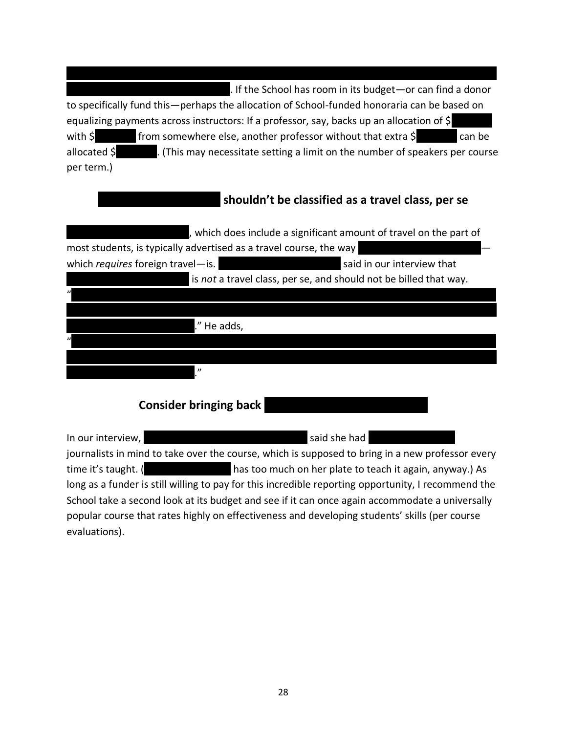. If the School has room in its budget—or can find a donor to specifically fund this—perhaps the allocation of School-funded honoraria can be based on equalizing payments across instructors: If a professor, say, backs up an allocation of \$ with  $\sin \theta$  from somewhere else, another professor without that extra  $\sin \theta$  can be allocated  $\oint$  ||. (This may necessitate setting a limit on the number of speakers per course per term.)

#### |||||||||||||||||||||||| **shouldn't be classified as a travel class, per se**

| , which does include a significant amount of travel on the part of |                            |  |  |  |  |
|--------------------------------------------------------------------|----------------------------|--|--|--|--|
| most students, is typically advertised as a travel course, the way |                            |  |  |  |  |
| which requires foreign travel-is.                                  | said in our interview that |  |  |  |  |
| is not a travel class, per se, and should not be billed that way.  |                            |  |  |  |  |
|                                                                    |                            |  |  |  |  |
|                                                                    |                            |  |  |  |  |
| He adds,                                                           |                            |  |  |  |  |
|                                                                    |                            |  |  |  |  |
|                                                                    |                            |  |  |  |  |
|                                                                    |                            |  |  |  |  |
|                                                                    |                            |  |  |  |  |

**Consider bringing back** 

In our interview, |||||||||||||||||||||||||||||||| said she had ||||||||||||||||| journalists in mind to take over the course, which is supposed to bring in a new professor every time it's taught. (  $\qquad \qquad$  has too much on her plate to teach it again, anyway.) As long as a funder is still willing to pay for this incredible reporting opportunity, I recommend the School take a second look at its budget and see if it can once again accommodate a universally popular course that rates highly on effectiveness and developing students' skills (per course evaluations).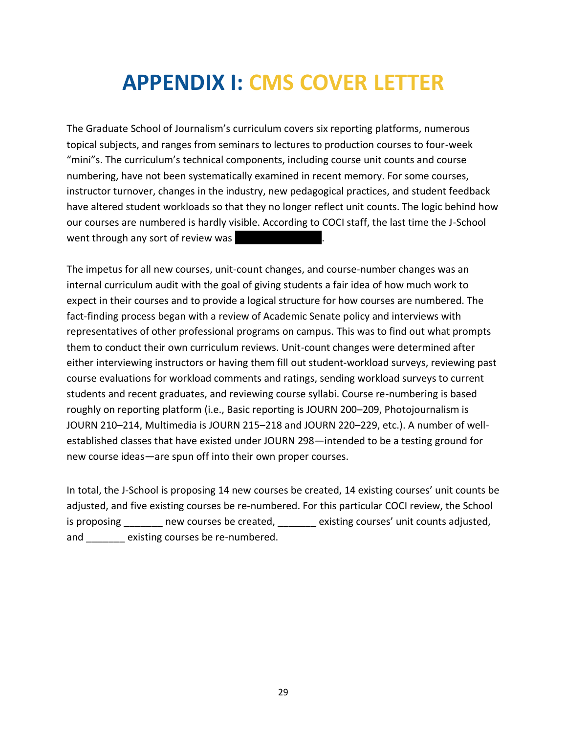## **APPENDIX I: CMS COVER LETTER**

The Graduate School of Journalism's curriculum covers six reporting platforms, numerous topical subjects, and ranges from seminars to lectures to production courses to four-week "mini"s. The curriculum's technical components, including course unit counts and course numbering, have not been systematically examined in recent memory. For some courses, instructor turnover, changes in the industry, new pedagogical practices, and student feedback have altered student workloads so that they no longer reflect unit counts. The logic behind how our courses are numbered is hardly visible. According to COCI staff, the last time the J-School went through any sort of review was

The impetus for all new courses, unit-count changes, and course-number changes was an internal curriculum audit with the goal of giving students a fair idea of how much work to expect in their courses and to provide a logical structure for how courses are numbered. The fact-finding process began with a review of Academic Senate policy and interviews with representatives of other professional programs on campus. This was to find out what prompts them to conduct their own curriculum reviews. Unit-count changes were determined after either interviewing instructors or having them fill out student-workload surveys, reviewing past course evaluations for workload comments and ratings, sending workload surveys to current students and recent graduates, and reviewing course syllabi. Course re-numbering is based roughly on reporting platform (i.e., Basic reporting is JOURN 200–209, Photojournalism is JOURN 210–214, Multimedia is JOURN 215–218 and JOURN 220–229, etc.). A number of wellestablished classes that have existed under JOURN 298—intended to be a testing ground for new course ideas—are spun off into their own proper courses.

In total, the J-School is proposing 14 new courses be created, 14 existing courses' unit counts be adjusted, and five existing courses be re-numbered. For this particular COCI review, the School is proposing \_\_\_\_\_\_\_ new courses be created, \_\_\_\_\_\_\_ existing courses' unit counts adjusted, and existing courses be re-numbered.